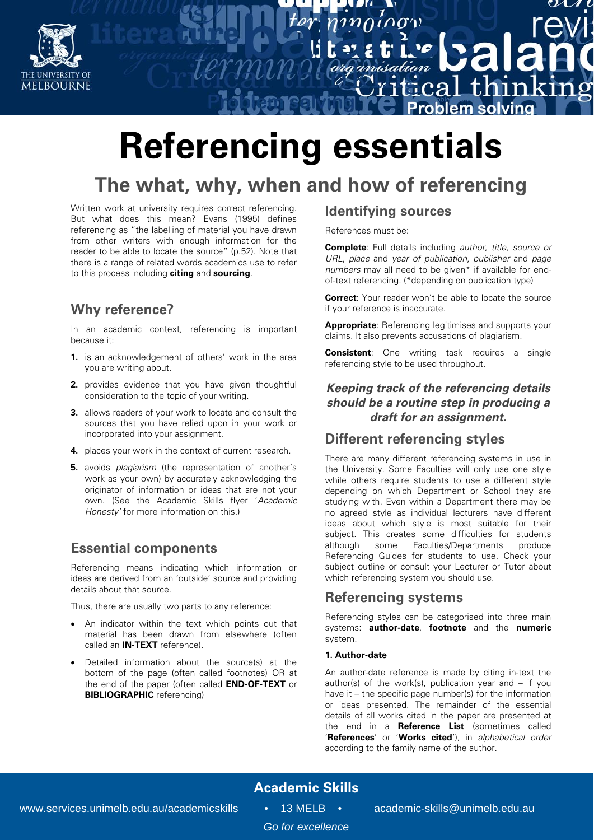

# **Referencing essentials**

## **The what, why, when and how of referencing**

Written work at university requires correct referencing. But what does this mean? Evans (1995) defines referencing as "the labelling of material you have drawn from other writers with enough information for the reader to be able to locate the source" (p.52). Note that there is a range of related words academics use to refer to this process including **citing** and **sourcing**.

## **Why reference?**

In an academic context, referencing is important because it:

- **1.** is an acknowledgement of others' work in the area you are writing about.
- **2.** provides evidence that you have given thoughtful consideration to the topic of your writing.
- **3.** allows readers of your work to locate and consult the sources that you have relied upon in your work or incorporated into your assignment.
- **4.** places your work in the context of current research.
- **5.** avoids *plagiarism* (the representation of another's work as your own) by accurately acknowledging the originator of information or ideas that are not your own. (See the Academic Skills flyer 'Academic Honesty' for more information on this.)

### **Essential components**

Referencing means indicating which information or ideas are derived from an 'outside' source and providing details about that source.

Thus, there are usually two parts to any reference:

- An indicator within the text which points out that material has been drawn from elsewhere (often called an **IN-TEXT** reference).
- Detailed information about the source(s) at the bottom of the page (often called footnotes) OR at the end of the paper (often called **END-OF-TEXT** or **BIBLIOGRAPHIC** referencing)

#### **Identifying sources**

 $\mathcal{U}^{(1)}$ 

 $\overline{1}$ ca

References must be:

**Complete**: Full details including author, title, source or URL, place and year of publication, publisher and page numbers may all need to be given\* if available for endof-text referencing. (\*depending on publication type)

thin

roblem solvino

 $\mathbf{m}$ 

**Correct:** Your reader won't be able to locate the source if your reference is inaccurate.

**Appropriate**: Referencing legitimises and supports your claims. It also prevents accusations of plagiarism.

**Consistent**: One writing task requires a single referencing style to be used throughout.

#### **Keeping track of the referencing details should be a routine step in producing a draft for an assignment.**

#### **Different referencing styles**

There are many different referencing systems in use in the University. Some Faculties will only use one style while others require students to use a different style depending on which Department or School they are studying with. Even within a Department there may be no agreed style as individual lecturers have different ideas about which style is most suitable for their subject. This creates some difficulties for students although some Faculties/Departments produce Referencing Guides for students to use. Check your subject outline or consult your Lecturer or Tutor about which referencing system you should use.

#### **Referencing systems**

Referencing styles can be categorised into three main systems: **author-date**, **footnote** and the **numeric** system.

#### **1. Author-date**

An author-date reference is made by citing in-text the author(s) of the work(s), publication year and  $-$  if you have it – the specific page number(s) for the information or ideas presented. The remainder of the essential details of all works cited in the paper are presented at the end in a **Reference List** (sometimes called '**References**' or '**Works cited**'), in alphabetical order according to the family name of the author.

## **Academic Skills**

*Go for excellence*